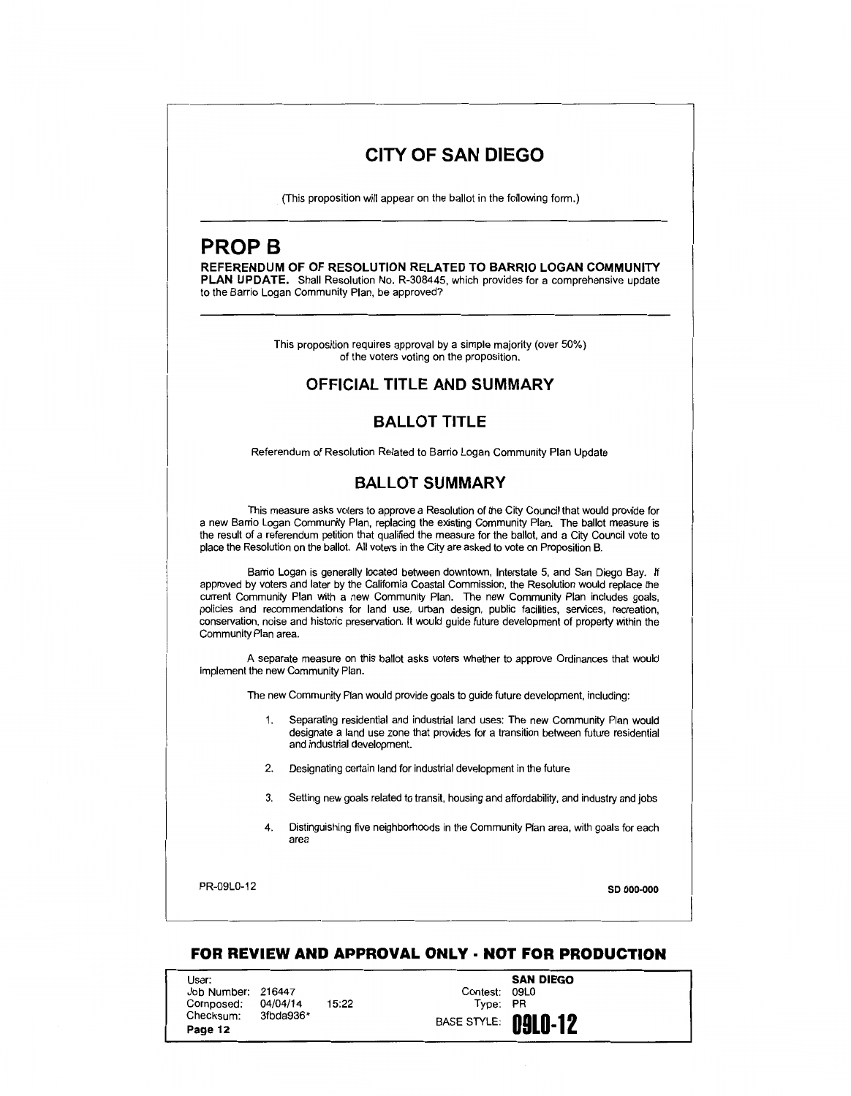# **CITY OF SAN DIEGO**

(This proposition will appear on the ballot in the following form.)

# **PROP B**

**REFERENDUM OF OF RESOLUTION RELATED TO BARRIO LOGAN COMMUNITY PLAN UPDATE.** Shall Resolution No. R-308445, which provides for a comprehensive update to the Barrio Logan Community Plan, be approved?

> This proposition requires approval by a simple majority (over 50%) of the voters voting on the proposition.

### **OFFICIAL TITLE AND SUMMARY**

## **BALLOT TITLE**

Referendum of Resolution Related to Barrio Logan Community Plan Update

### **BALLOT SUMMARY**

This measure asks voters to approve a Resolution of the City Council that would provide for a new Barrio Logan Community Plan, replacing the existing Community Plan. The ballot measure is the result of a referendum petition that qualified the measure for the ballot, and a City Council vote to place the Resolution on the ballot. All voters in the City are asked to vote on Proposition B.

Barrio Logan is generally located between downtown, Interstate 5, and San Diego Bay. If approved by voters and later by the California Coastal Commission, the Resolution would replace the current Community Plan with a new Community Plan. The new Community Plan includes goals, policies and recommendations for land use, urban design, public facilities, services, recreation, conservation, noise and historic preservation. It would guide future development of property within the Community Plan area.

A separate measure on this ballot asks voters whether to approve Ordinances that would implement the new Community Plan.

The new Community Plan would provide goals to guide future development, including:

- 1. Separating residential and industrial land uses: The new Community Plan would designate a land use zone that provides for a transition between future residential and industrial development.
- 2. Designating certain land for industrial development in the future
- 3. Setting new goals related to transit, housing and affordability, and industry and jobs
- 4. Distinguishing five neighborhoods in the Community Plan area, with goals for each area

PR-09L0-12 **so ooo..ooo** 

### **FOR REVIEW AND APPROVAL ONLY· NOT FOR PRODUCTION**

User: Job Number: Composed: Checksum: **Page 12**  216447 04/04/14 3fbda936\* 15:22 **SAN DIEGO**  Contest: Type: PR **BASE STYLE: 0910-12**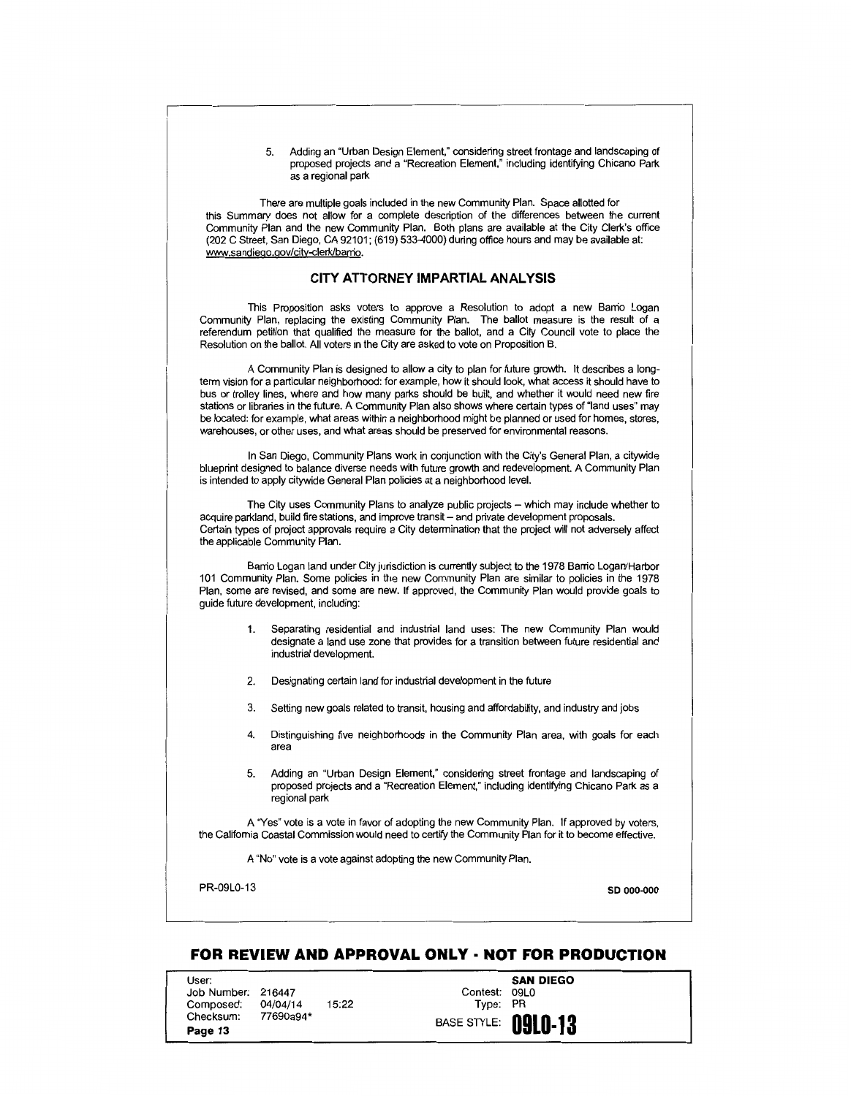5. Adding an "Urban Design Element," considering street frontage and landscaping of proposed projects and a "Recreation Element," including identifying Chicano Park as a regional park

There are multiple goals included in the new Community Plan. Space allotted for this Summary does not allow for a complete description of the differences between the current Community Plan and the new Community Plan. Both plans are available at the City Clerk's office (202 C Street, San Diego, CA 92101; (619) 533-4000) during office hours and may be available at: www.sandiego.gov/city-clerk/barrio.

#### **CITY ATTORNEY IMPARTIAL ANALYSIS**

This Proposition asks voters to approve a Resolution to adopt a new Barrio Logan Community Plan, replacing the existing Community Plan. The ballot measure is the result of a referendum petition that qualified the measure for the ballot, and a City Council vote to place the Resolution on the ballot. All voters in the City are asked to vote on Proposition B.

A Community Plan is designed to allow a city to plan for future growth. It describes a longterm vision for a particular neighborhood: for example, how it should look, what access it should have to bus or trolley lines, where and how many parks should be built, and whether it would need new fire stations or libraries in the future. A Community Plan also shows where certain types of "land uses" may be located: for example, what areas within a neighborhood might be planned or used for homes, stores, warehouses, or other uses, and what areas should be preserved for environmental reasons.

In San Diego, Community Plans work in conjunction with the City's General Plan, a citywide blueprint designed to balance diverse needs with future growth and redevelopment. A Community Plan is intended to apply citywide General Plan policies at a neighborhood level.

The City uses Community Plans to analyze public projects - which may include whether to acquire parkland, build fire stations, and improve transit- and private development proposals. Certain types of project approvals require a City detennination that the project will not adversely affect the applicable Community Plan.

Barrio Logan land under City jurisdiction is currently subject to the 1978 Barrio Logan/Harbor 101 Community Plan. Some policies in the new Community Plan are similar to policies in the 1978 Plan, some are revised, and some are new. If approved, the Community Plan would provide goals to guide future development, including:

- 1. Separating residential and industrial land uses: The new Community Plan would designate a land use zone that provides for a transition between future residential and industrial development.
- 2. Designating certain land for industrial development in the future
- 3. Setting new goals related to transit, housing and affordability, and industry and jobs
- 4. Distinguishing five neighborhoods in the Community Plan area. with goals for each area
- 5. Adding an "Urban Design Element," considering street frontage and landscaping of proposed projects and a "Recreation Element," including identifying Chicano Park as a regional park

A "Yes" vote is a vote in favor of adopting the new Community Plan. If approved by voters, the California Coastal Commission would need to certify the Community Plan for it to become effective.

A "No" vote is a vote against adopting the new Community Plan.

PR-09L0-13 so 000-000 so 000-000 so 000-000 so 000-000 so 000-000 so 000-000 so 000-000 so 000-000 so 000-000

### **FOR REVIEW AND APPROVAL ONLY· NOT FOR PRODUCTION**

User: Job Number: 216447 Composed: Checksum: **Page 13**  04/04/14 77690a94\*

15:22

**SAN DIEGO**  Contest: 09LO Type: PR BASE STYLE: **09L0·13**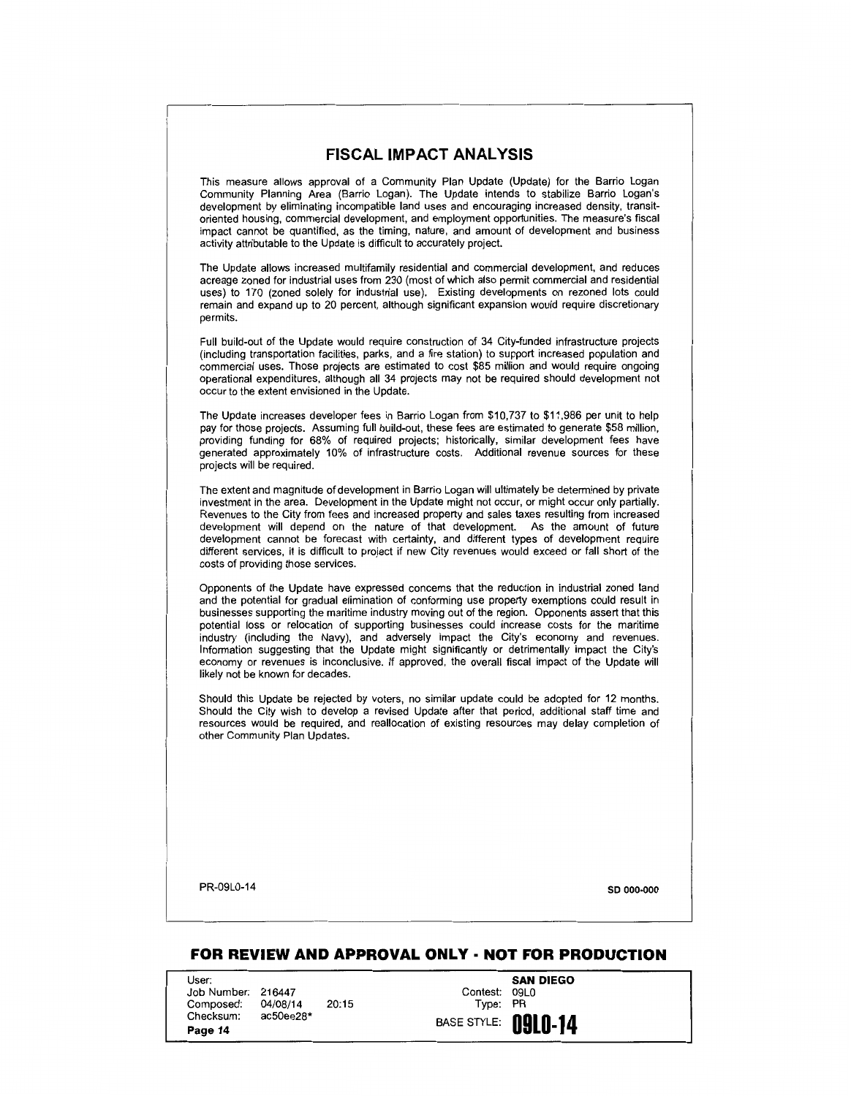### **FISCAL IMPACT ANALYSIS**

This measure allows approval of a Community Plan Update (Update) for the Barrio Logan Community Planning Area (Barrio Logan). The Update intends to stabilize Barrio Logan's development by eliminating incompatible land uses and encouraging increased density, transitoriented housing, commercial development, and employment opportunities. The measure's fiscal impact cannot be quantified, as the timing, nature, and amount of development and business activity attributable to the Update is difficult to accurately project.

The Update allows increased multifamily residential and commercial development, and reduces acreage zoned for industrial uses from 230 (most of which also permit commercial and residential uses) to 170 (zoned solely for industrial use). Existing developments on rezoned lots could remain and expand up to 20 percent, although significant expansion would require discretionary permits.

Full build-out of the Update would require construction of 34 City-funded infrastructure projects (including transportation facilities, parks, and a fire station) to support increased population and commercial uses. Those projects are estimated to cost \$85 million and would require ongoing operational expenditures, although all 34 projects may not be required should development not occur to the extent envisioned in the Update.

The Update increases developer fees in Barrio Logan from \$10,737 to \$11,986 per unit to help pay for those projects. Assuming full build-out, these fees are estimated to generate \$58 million, providing funding for 68% of required projects; historically, similar development fees have generated approximately 10% of infrastructure costs. Additional revenue sources for these projects will be required.

The extent and magnitude of development in Barrio Logan will ultimately be determined by private investment in the area. Development in the Update might not occur, or might occur only partially. Revenues to the City from fees and increased property and sales taxes resulting from increased development will depend on the nature of that development. As the amount of future development cannot be forecast with certainty, and different types of development require different services, it is difficult to project if new City revenues would exceed or fall short of the costs of providing those services.

Opponents of the Update have expressed concerns that the reduction in industrial zoned land and the potential for gradual elimination of conforming use property exemptions could result in businesses supporting the maritime industry moving out of the region. Opponents assert that this potential loss or relocation of supporting businesses could increase costs for the maritime industry (including the Navy), and adversely impact the City's economy and revenues. Information suggesting that the Update might significantly or detrimentally impact the City's economy or revenues is inconclusive. If approved, the overall fiscal impact of the Update will likely not be known for decades.

Should this Update be rejected by voters, no similar update could be adopted for 12 months. Should the City wish to develop a revised Update after that period, additional staff time and resources would be required, and reallocation of existing resources may delay completion of other Community Plan Updates.

PR-09L0-14 **so 000-000** 

### **FOR REVIEW AND APPROVAL ONLY· NOT FOR PRODUCTION**

User: Job Number: 216447 Composed: Checksum: **Page 14** 

04/08/14 ac50ee28\* 20:15

**SAN DIEGO**  Contest: 09LO Type: PR **BASE STYLE:** 0910-14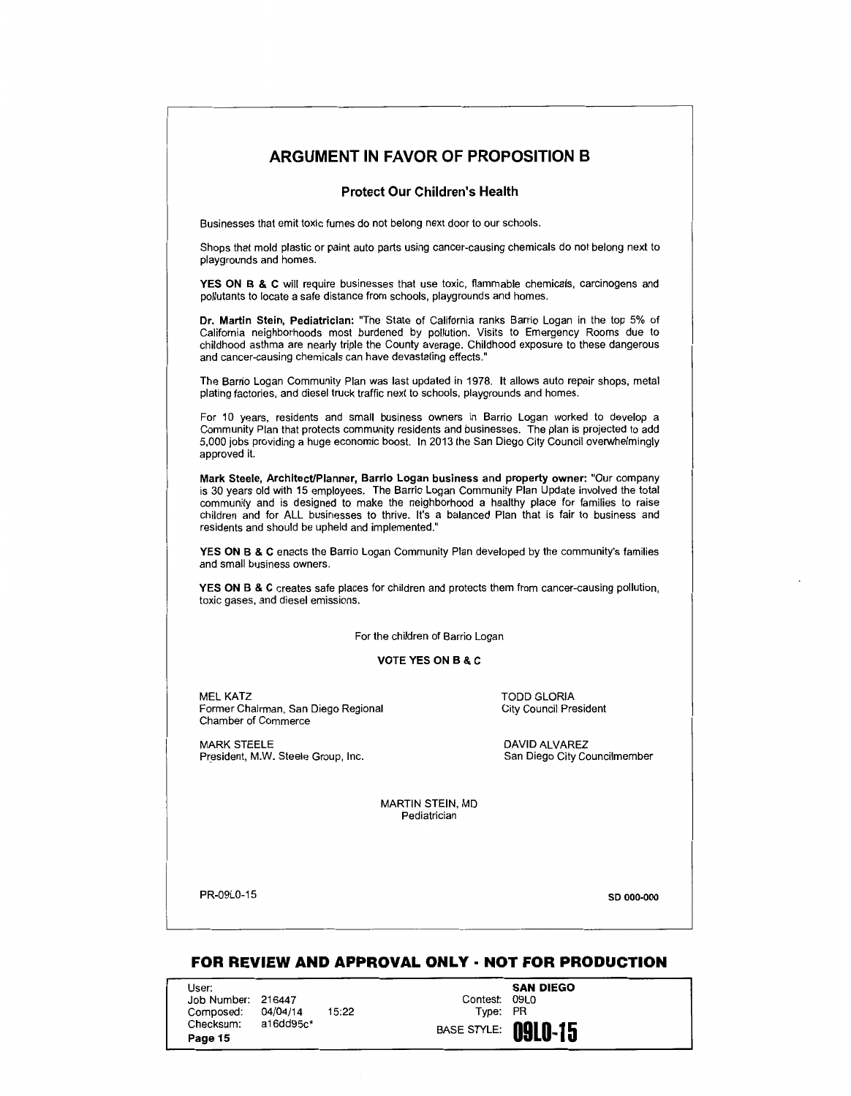### **ARGUMENT IN FAVOR OF PROPOSITION 8**

#### **Protect Our Children's Health**

Businesses that emit toxic fumes do not belong next door to our schools.

Shops that mold plastic or paint auto parts using cancer-causing chemicals do not belong next to playgrounds and homes.

YES ON B & C will require businesses that use toxic, flammable chemicals, carcinogens and pollutants to locate a safe distance from schools, playgrounds and homes.

**Dr. Martin Stein, Pediatrician:** "The State of California ranks Barrio Logan in the top 5% of California neighborhoods most burdened by pollution. Visits to Emergency Rooms due to childhood asthma are nearly triple the County average. Childhood exposure to these dangerous and cancer-causing chemicals can have devastating effects."

The Barrio Logan Community Plan was last updated in 1978. It allows auto repair shops, metal plating factories, and diesel truck traffic next to schools, playgrounds and homes.

For 10 years, residents and small business owners in Barrio Logan worked to develop a Community Plan that protects community residents and businesses. The plan is projected to add 5,000 jobs providing a huge economic boost. In 2013 the San Diego City Council overwhelmingly approved it.

**Mark Steele, Architect/Planner, Barrio Logan business and property owner:** "Our company is 30 years old with 15 employees. The Barrio Logan Community Plan Update involved the total community and is designed to make the neighborhood a healthy place for families to raise children and for ALL businesses to thrive. It's a balanced Plan that is fair to business and residents and should be upheld and implemented."

**YES ON B & C** enacts the Barrio Logan Community Plan developed by the community's families and small business owners.

**YES ON B & C** creates safe places for children and protects them from cancer-causing pollution, toxic gases, and diesel emissions.

For the children of Barrio Logan

#### **VOTE YES ON B & C**

MEL KATZ Former Chairman, San Diego Regional Chamber of Commerce

MARK STEELE President, M.W. Steele Group, Inc. TODD GLORIA City Council President

DAVID ALVAREZ<br>San Diego City Councilmember

MARTIN STEIN, MD **Pediatrician** 

PR-09L0-15

**so 000-000** 

### **FOR REVIEW AND APPROVAL ONLY· NOT FOR PRODUCTION**

User: Job Number: 216447 Composed: Checksum: **Page 15**  04/04/14 a16dd95c\* 15:22

**SAN DIEGO**  Contest: 09LO Type: PR BASE STYLE: **09L0-15**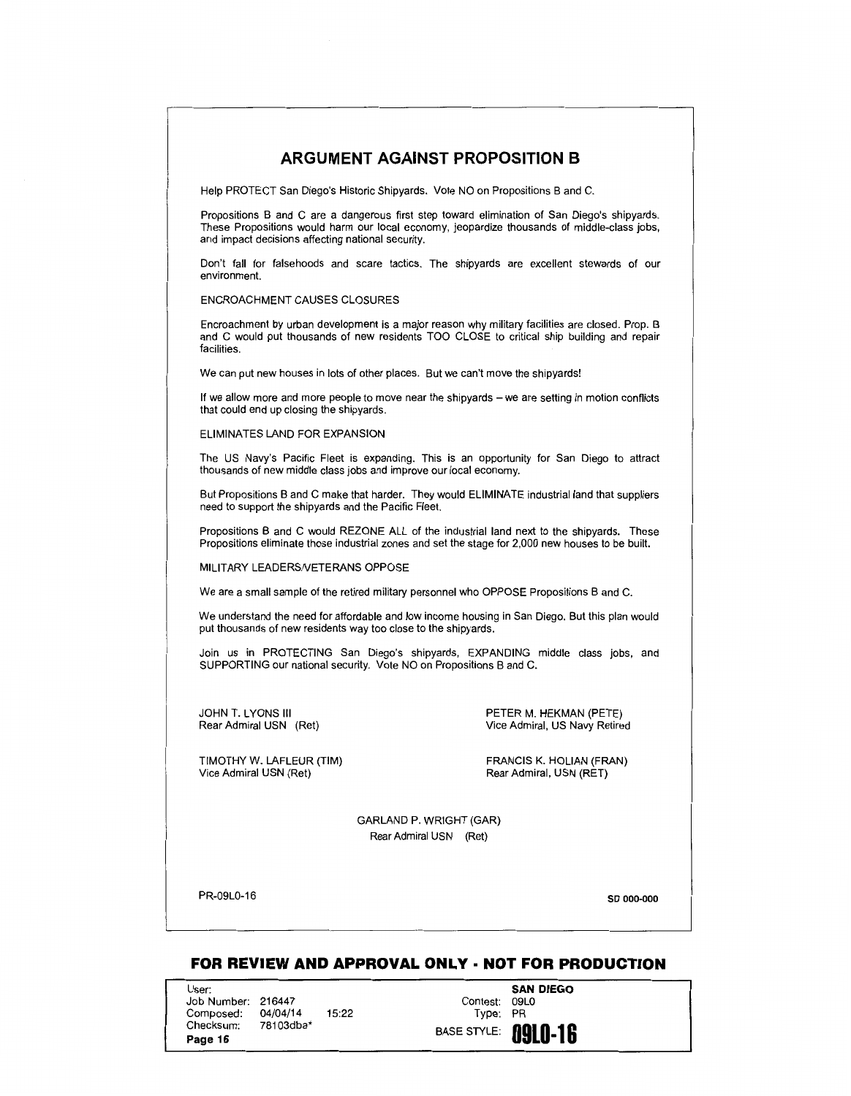

## **FOR REVIEW AND APPROVAL ONLY· NOT FOR PRODUCTION**

User: Job Number: 216447 Composed: Checksum: **Page 16**  04/04/14 78103dba\*

15:22

**SAN DIEGO**  Contest: Type: PR BASE STYLE: **09LD·18**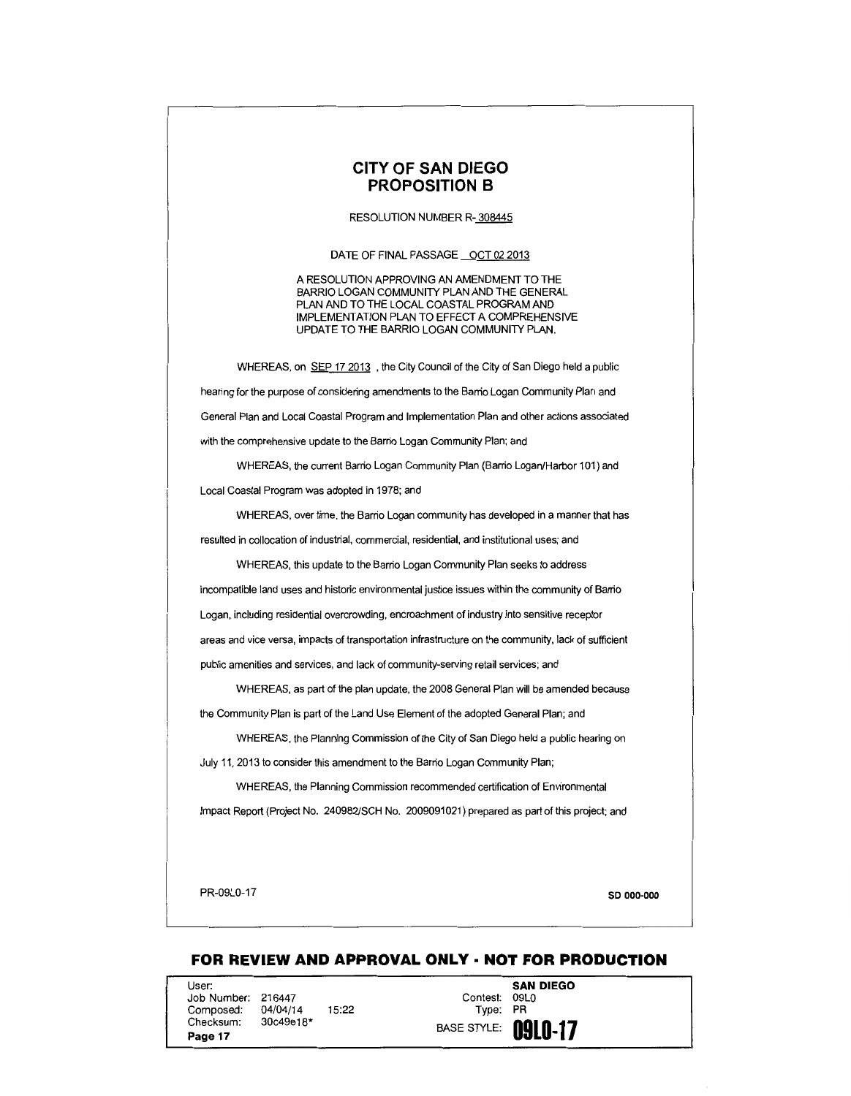### **CITY OF SAN DIEGO PROPOSITION 8**

#### RESOLUTION NUMBER R- 308445

DATE OF FINAL PASSAGE OCT 02 2013

A RESOLUTION APPROVING AN AMENDMENT TO THE BARRIO LOGAN COMMUNITY PLAN AND THE GENERAL PLAN AND TO THE LOCAL COASTAL PROGRAM AND IMPLEMENTATION PLAN TO EFFECT A COMPREHENSIVE UPDATE TO THE BARRIO LOGAN COMMUNITY PLAN.

WHEREAS, on SEP 17 2013 , the City Council of the City of San Diego held a public hearing for the purpose of considering amendments to the Barrio Logan Community Plan and General Plan and Local Coastal Program and Implementation Plan and other actions associated with the comprehensive update to the Barrio Logan Community Plan; and

WHEREAS, the current Barrio Logan Community Plan (Barrio Logan/Harbor 101) and Local Coastal Program was adopted in 1978; and

WHEREAS, over time, the Barrio Logan community has developed in a manner that has resulted in collocation of industrial, commercial, residential, and institutional uses; and

WHEREAS, this update to the Barrio Logan Community Plan seeks to address

incompatible land uses and historic environmental justice issues within the community of Barrio

Logan, including residential overcrowding, encroachment of industry into sensitive receptor

areas and vice versa, impacts of transportation infrastructure on the community, lack of sufficient

public amenities and services, and lack of community-serving retail services; and

WHEREAS, as part of the plan update, the 2008 General Plan will be amended because the Community Plan is part of the Land Use Element of the adopted General Plan; and

WHEREAS, the Planning Commission of the City of San Diego held a public hearing on July 11, 2013 to consider this amendment to the Barrio Logan Community Plan;

WHEREAS, the Planning Commission recommended certification of Environmental

Impact Report (Project No. 240982/SCH No. 2009091021) prepared as part of this project; and

PR-09L0-17 SD 000-000

### **FOR REVIEW AND APPROVAL ONLY· NOT FOR PRODUCTION**

User: Job Number: 216447 Composed: Checksum: **Page 17**  04/04/14 30c49e18\*

15:22

**SAN DIEGO**  Contest: 09LO Type: PR **BASE STYLE: 0910-17**